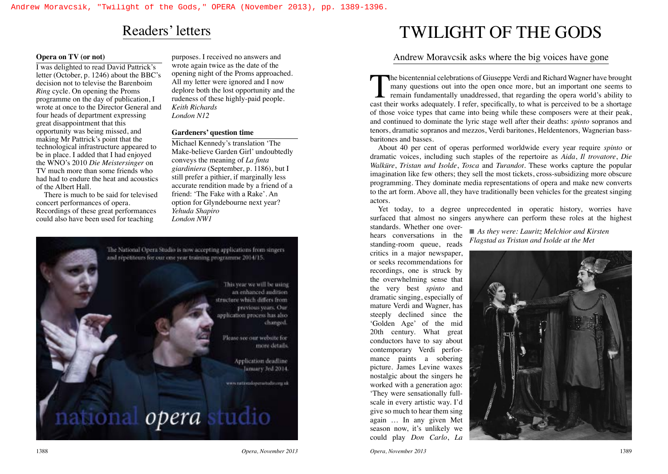### **Opera on TV (or not)**

I was delighted to read David Pattrick's letter (October, p. 1246) about the BBC's decision not to televise the Barenboim *Ring* cycle. On opening the Proms programme on the day of publication, I wrote at once to the Director General and four heads of department expressing great disappointment that this opportunity was being missed, and making Mr Pattrick's point that the technological infrastructure appeared to be in place. I added that I had enjoyed the WNO's 2010 *Die Meistersinger* on TV much more than some friends who had had to endure the heat and acoustics of the Albert Hall.

There is much to be said for televised concert performances of opera. Recordings of these great performances could also have been used for teaching

purposes. I received no answers and wrote again twice as the date of the opening night of the Proms approached. All my letter were ignored and I now deplore both the lost opportunity and the rudeness of these highly-paid people. *Keith Richards London N12*

### **Gardeners' question time**

Michael Kennedy's translation 'The Make-believe Garden Girl' undoubtedly conveys the meaning of *La finta giardiniera* (September, p. 1186), but I still prefer a pithier, if marginally less accurate rendition made by a friend of a friend: 'The Fake with a Rake'. An option for Glyndebourne next year? *Yehuda Shapiro London NW1*



# Readers' letters TWILIGHT OF THE GODS

### Andrew Moravcsik asks where the big voices have gone

The bicentennial celebrations of Giuseppe Verdi and Richard Wagner have brought many questions out into the open once more, but an important one seems to remain fundamentally unaddressed, that regarding the opera world's ability to cast their works adequately. I refer, specifically, to what is perceived to be a shortage of those voice types that came into being while these composers were at their peak, and continued to dominate the lyric stage well after their deaths: *spinto* sopranos and tenors, dramatic sopranos and mezzos, Verdi baritones, Heldentenors*,* Wagnerian bassbaritones and basses.

About 40 per cent of operas performed worldwide every year require *spinto* or dramatic voices, including such staples of the repertoire as *Aida*, *Il trovatore*, *Die Walküre*, *Tristan und Isolde*, *Tosca* and *Turandot.* These works capture the popular imagination like few others; they sell the most tickets, cross-subsidizing more obscure programming. They dominate media representations of opera and make new converts to the art form. Above all, they have traditionally been vehicles for the greatest singing actors.

Yet today, to a degree unprecedented in operatic history, worries have surfaced that almost no singers anywhere can perform these roles at the highest

standards. Whether one overhears conversations in the standing-room queue, reads critics in a major newspaper, or seeks recommendations for recordings, one is struck by the overwhelming sense that the very best *spinto* and dramatic singing, especially of mature Verdi and Wagner, has steeply declined since the 'Golden Age' of the mid 20th century. What great conductors have to say about contemporary Verdi performance paints a sobering picture. James Levine waxes nostalgic about the singers he worked with a generation ago: 'They were sensationally fullscale in every artistic way. I'd give so much to hear them sing again … In any given Met season now, it's unlikely we could play *Don Carlo*, *La* 

■ As they were: Lauritz Melchior and Kirsten *Flagstad as Tristan and Isolde at the Met*

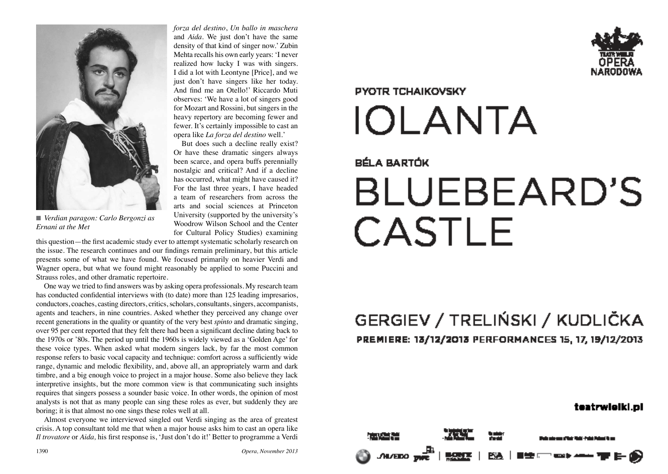

*Ernani at the Met*

*forza del destino*, *Un ballo in maschera* and *Aida*. We just don't have the same density of that kind of singer now.' Zubin Mehta recalls his own early years: 'I never realized how lucky I was with singers. I did a lot with Leontyne [Price], and we just don't have singers like her today. And find me an Otello!' Riccardo Muti observes: 'We have a lot of singers good for Mozart and Rossini, but singers in the heavy repertory are becoming fewer and fewer. It's certainly impossible to cast an opera like *La forza del destino* well.'

But does such a decline really exist? Or have these dramatic singers always been scarce, and opera buffs perennially nostalgic and critical? And if a decline has occurred, what might have caused it? For the last three years, I have headed a team of researchers from across the arts and social sciences at Princeton University (supported by the university's Woodrow Wilson School and the Center for Cultural Policy Studies) examining

this question—the first academic study ever to attempt systematic scholarly research on the issue. The research continues and our findings remain preliminary, but this article presents some of what we have found. We focused primarily on heavier Verdi and Wagner opera, but what we found might reasonably be applied to some Puccini and Strauss roles, and other dramatic repertoire.

One way we tried to find answers was by asking opera professionals. My research team has conducted confidential interviews with (to date) more than 125 leading impresarios, conductors, coaches, casting directors, critics, scholars, consultants, singers, accompanists, agents and teachers, in nine countries. Asked whether they perceived any change over recent generations in the quality or quantity of the very best *spinto* and dramatic singing, over 95 per cent reported that they felt there had been a significant decline dating back to the 1970s or '80s. The period up until the 1960s is widely viewed as a 'Golden Age' for these voice types. When asked what modern singers lack, by far the most common response refers to basic vocal capacity and technique: comfort across a sufficiently wide range, dynamic and melodic flexibility, and, above all, an appropriately warm and dark timbre, and a big enough voice to project in a major house. Some also believe they lack interpretive insights, but the more common view is that communicating such insights requires that singers possess a sounder basic voice. In other words, the opinion of most analysts is not that as many people can sing these roles as ever, but suddenly they are boring; it is that almost no one sings these roles well at all. *If Verdian paragon: Carlo Bergonzi as Il woodrow Wilson School and the Center* for Cultural Policy Studies) examining this question — the first academic study ever to attenty systematie scholarly research on the sissu

Almost everyone we interviewed singled out Verdi singing as the area of greatest crisis. A top consultant told me that when a major house asks him to cast an opera like





# **PYOTR TCHAIKOVSKY IOLANTA**

### BÉLA BARTÓK

# **BLUEBEARD'S CASTLE**

## GERGIEV / TRELIŃSKI / KUDLIČKA PREMIERE: 13/12/2013 PERFORMANCES 15, 17, 19/12/2013

### teatrwiciki.pl

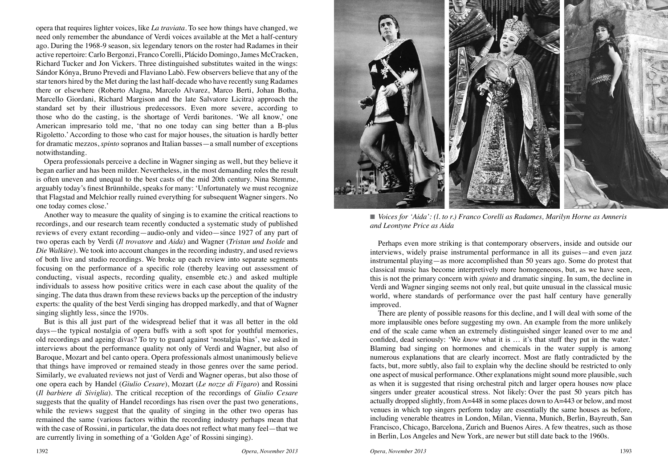opera that requires lighter voices, like *La traviata.* To see how things have changed, we need only remember the abundance of Verdi voices available at the Met a half-century ago. During the 1968-9 season, six legendary tenors on the roster had Radames in their active repertoire: Carlo Bergonzi, Franco Corelli, Plácido Domingo, James McCracken, Richard Tucker and Jon Vickers. Three distinguished substitutes waited in the wings: Sándor Kónya, Bruno Prevedi and Flaviano Labò. Few observers believe that any of the star tenors hired by the Met during the last half-decade who have recently sung Radames there or elsewhere (Roberto Alagna, Marcelo Alvarez, Marco Berti, Johan Botha, Marcello Giordani, Richard Margison and the late Salvatore Licitra) approach the standard set by their illustrious predecessors. Even more severe, according to those who do the casting, is the shortage of Verdi baritones. 'We all know,' one American impresario told me, 'that no one today can sing better than a B-plus Rigoletto.' According to those who cast for major houses, the situation is hardly better for dramatic mezzos, *spinto* sopranos and Italian basses—a small number of exceptions notwithstanding.

Opera professionals perceive a decline in Wagner singing as well, but they believe it began earlier and has been milder. Nevertheless, in the most demanding roles the result is often uneven and unequal to the best casts of the mid 20th century. Nina Stemme, arguably today's finest Brünnhilde, speaks for many: 'Unfortunately we must recognize that Flagstad and Melchior really ruined everything for subsequent Wagner singers. No one today comes close.'

Another way to measure the quality of singing is to examine the critical reactions to recordings, and our research team recently conducted a systematic study of published reviews of every extant recording—audio-only and video—since 1927 of any part of two operas each by Verdi (*Il trovatore* and *Aida*) and Wagner (*Tristan und Isolde* and *Die Walküre*). We took into account changes in the recording industry, and used reviews of both live and studio recordings. We broke up each review into separate segments focusing on the performance of a specific role (thereby leaving out assessment of conducting, visual aspects, recording quality, ensemble etc.) and asked multiple individuals to assess how positive critics were in each case about the quality of the singing. The data thus drawn from these reviews backs up the perception of the industry experts: the quality of the best Verdi singing has dropped markedly, and that of Wagner singing slightly less, since the 1970s.

But is this all just part of the widespread belief that it was all better in the old days—the typical nostalgia of opera buffs with a soft spot for youthful memories, old recordings and ageing divas? To try to guard against 'nostalgia bias', we asked in interviews about the performance quality not only of Verdi and Wagner, but also of Baroque, Mozart and bel canto opera. Opera professionals almost unanimously believe that things have improved or remained steady in those genres over the same period. Similarly, we evaluated reviews not just of Verdi and Wagner operas, but also those of one opera each by Handel (*Giulio Cesare*), Mozart (*Le nozze di Figaro*) and Rossini (*Il barbiere di Siviglia*). The critical reception of the recordings of *Giulio Cesare*  suggests that the quality of Handel recordings has risen over the past two generations, while the reviews suggest that the quality of singing in the other two operas has remained the same (various factors within the recording industry perhaps mean that with the case of Rossini, in particular, the data does not reflect what many feel—that we are currently living in something of a 'Golden Age' of Rossini singing).



■ *Voices for 'Aida': (l. to r.) Franco Corelli as Radames, Marilyn Horne as Amneris and Leontyne Price as Aida*

Perhaps even more striking is that contemporary observers, inside and outside our interviews, widely praise instrumental performance in all its guises—and even jazz instrumental playing—as more accomplished than 50 years ago. Some do protest that classical music has become interpretively more homogeneous, but, as we have seen, this is not the primary concern with *spinto* and dramatic singing. In sum, the decline in Verdi and Wagner singing seems not only real, but quite unusual in the classical music world, where standards of performance over the past half century have generally improved.

There are plenty of possible reasons for this decline, and I will deal with some of the more implausible ones before suggesting my own. An example from the more unlikely end of the scale came when an extremely distinguished singer leaned over to me and confided, dead seriously: 'We *know* what it is … it's that stuff they put in the water.' Blaming bad singing on hormones and chemicals in the water supply is among numerous explanations that are clearly incorrect. Most are flatly contradicted by the facts, but, more subtly, also fail to explain why the decline should be restricted to only one aspect of musical performance. Other explanations might sound more plausible, such as when it is suggested that rising orchestral pitch and larger opera houses now place singers under greater acoustical stress. Not likely: Over the past 50 years pitch has actually dropped slightly, from A=448 in some places down to A=443 or below, and most venues in which top singers perform today are essentially the same houses as before, including venerable theatres in London, Milan, Vienna, Munich, Berlin, Bayreuth, San Francisco, Chicago, Barcelona, Zurich and Buenos Aires. A few theatres, such as those in Berlin, Los Angeles and New York, are newer but still date back to the 1960s.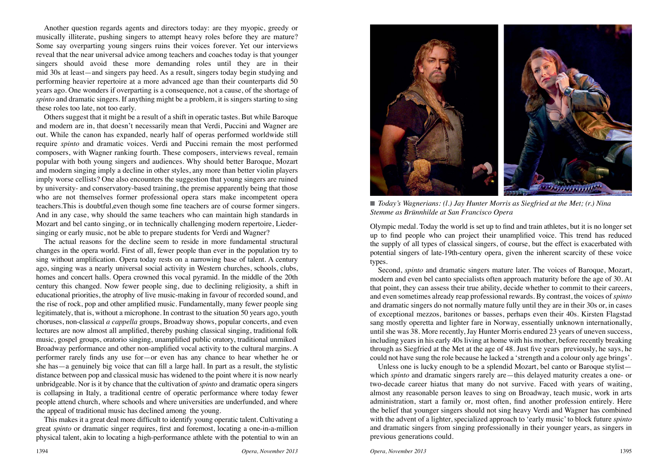Another question regards agents and directors today: are they myopic, greedy or musically illiterate, pushing singers to attempt heavy roles before they are mature? Some say overparting young singers ruins their voices forever. Yet our interviews reveal that the near universal advice among teachers and coaches today is that younger singers should avoid these more demanding roles until they are in their mid 30s at least—and singers pay heed. As a result, singers today begin studying and performing heavier repertoire at a more advanced age than their counterparts did 50 years ago. One wonders if overparting is a consequence, not a cause, of the shortage of *spinto* and dramatic singers. If anything might be a problem, it is singers starting to sing these roles too late, not too early.

Others suggest that it might be a result of a shift in operatic tastes. But while Baroque and modern are in, that doesn't necessarily mean that Verdi, Puccini and Wagner are out. While the canon has expanded, nearly half of operas performed worldwide still require *spinto* and dramatic voices. Verdi and Puccini remain the most performed composers, with Wagner ranking fourth. These composers, interviews reveal, remain popular with both young singers and audiences. Why should better Baroque, Mozart and modern singing imply a decline in other styles, any more than better violin players imply worse cellists? One also encounters the suggestion that young singers are ruined by university- and conservatory-based training, the premise apparently being that those who are not themselves former professional opera stars make incompetent opera teachers.This is doubtful,even though some fine teachers are of course former singers. And in any case, why should the same teachers who can maintain high standards in Mozart and bel canto singing, or in technically challenging modern repertoire, Liedersinging or early music, not be able to prepare students for Verdi and Wagner?

The actual reasons for the decline seem to reside in more fundamental structural changes in the opera world. First of all, fewer people than ever in the population try to sing without amplification. Opera today rests on a narrowing base of talent. A century ago, singing was a nearly universal social activity in Western churches, schools, clubs, homes and concert halls. Opera crowned this vocal pyramid. In the middle of the 20th century this changed. Now fewer people sing, due to declining religiosity, a shift in educational priorities, the atrophy of live music-making in favour of recorded sound, and the rise of rock, pop and other amplified music. Fundamentally, many fewer people sing legitimately, that is, without a microphone. In contrast to the situation 50 years ago, youth choruses, non-classical *a cappella* groups, Broadway shows, popular concerts, and even lectures are now almost all amplified, thereby pushing classical singing, traditional folk music, gospel groups, oratorio singing, unamplified public oratory, traditional unmiked Broadway performance and other non-amplified vocal activity to the cultural margins. A performer rarely finds any use for—or even has any chance to hear whether he or she has—a genuinely big voice that can fill a large hall. In part as a result, the stylistic distance between pop and classical music has widened to the point where it is now nearly unbridgeable. Nor is it by chance that the cultivation of *spinto* and dramatic opera singers is collapsing in Italy, a traditional centre of operatic performance where today fewer people attend church, where schools and where universities are underfunded, and where the appeal of traditional music has declined among the young.

This makes it a great deal more difficult to identify young operatic talent. Cultivating a great *spinto* or dramatic singer requires, first and foremost, locating a one-in-a-million physical talent, akin to locating a high-performance athlete with the potential to win an



■ *Today's Wagnerians: (1.) Jay Hunter Morris as Siegfried at the Met; (r.) Nina Stemme as Brünnhilde at San Francisco Opera*

Olympic medal. Today the world is set up to find and train athletes, but it is no longer set up to find people who can project their unamplified voice. This trend has reduced the supply of all types of classical singers, of course, but the effect is exacerbated with potential singers of late-19th-century opera, given the inherent scarcity of these voice types.

Second, *spinto* and dramatic singers mature later. The voices of Baroque, Mozart, modern and even bel canto specialists often approach maturity before the age of 30. At that point, they can assess their true ability, decide whether to commit to their careers, and even sometimes already reap professional rewards. By contrast, the voices of *spinto* and dramatic singers do not normally mature fully until they are in their 30s or, in cases of exceptional mezzos, baritones or basses, perhaps even their 40s. Kirsten Flagstad sang mostly operetta and lighter fare in Norway, essentially unknown internationally, until she was 38. More recently, Jay Hunter Morris endured 23 years of uneven success, including years in his early 40s living at home with his mother, before recently breaking through as Siegfried at the Met at the age of 48. Just five years previously, he says, he could not have sung the role because he lacked a 'strength and a colour only age brings'.

Unless one is lucky enough to be a splendid Mozart, bel canto or Baroque stylist which *spinto* and dramatic singers rarely are—this delayed maturity creates a one- or two-decade career hiatus that many do not survive. Faced with years of waiting, almost any reasonable person leaves to sing on Broadway, teach music, work in arts administration, start a family or, most often, find another profession entirely. Here the belief that younger singers should not sing heavy Verdi and Wagner has combined with the advent of a lighter, specialized approach to 'early music' to block future *spinto*  and dramatic singers from singing professionally in their younger years, as singers in previous generations could.